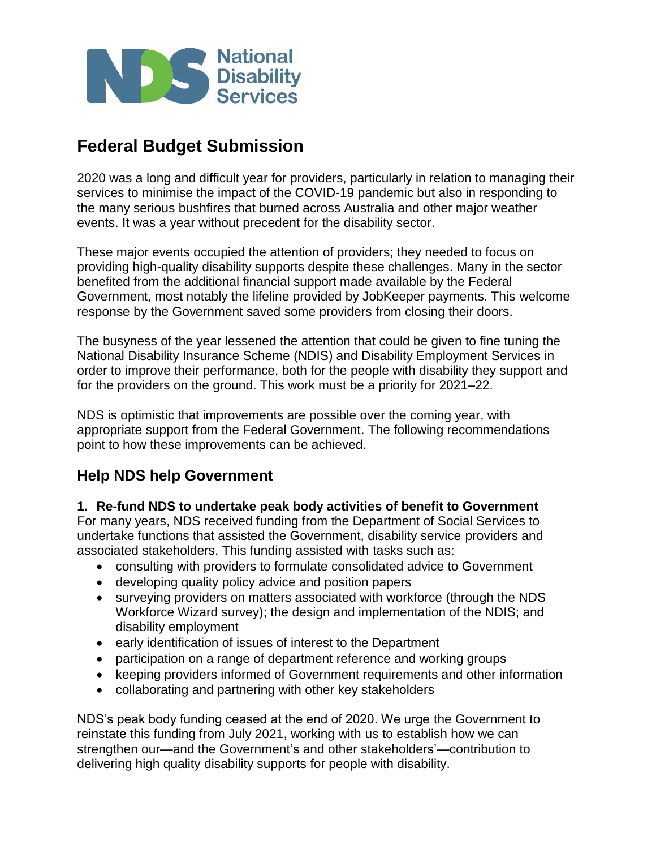

# **Federal Budget Submission**

2020 was a long and difficult year for providers, particularly in relation to managing their services to minimise the impact of the COVID-19 pandemic but also in responding to the many serious bushfires that burned across Australia and other major weather events. It was a year without precedent for the disability sector.

These major events occupied the attention of providers; they needed to focus on providing high-quality disability supports despite these challenges. Many in the sector benefited from the additional financial support made available by the Federal Government, most notably the lifeline provided by JobKeeper payments. This welcome response by the Government saved some providers from closing their doors.

The busyness of the year lessened the attention that could be given to fine tuning the National Disability Insurance Scheme (NDIS) and Disability Employment Services in order to improve their performance, both for the people with disability they support and for the providers on the ground. This work must be a priority for 2021–22.

NDS is optimistic that improvements are possible over the coming year, with appropriate support from the Federal Government. The following recommendations point to how these improvements can be achieved.

# **Help NDS help Government**

**1. Re-fund NDS to undertake peak body activities of benefit to Government**

For many years, NDS received funding from the Department of Social Services to undertake functions that assisted the Government, disability service providers and associated stakeholders. This funding assisted with tasks such as:

- consulting with providers to formulate consolidated advice to Government
- developing quality policy advice and position papers
- surveying providers on matters associated with workforce (through the NDS Workforce Wizard survey); the design and implementation of the NDIS; and disability employment
- early identification of issues of interest to the Department
- participation on a range of department reference and working groups
- keeping providers informed of Government requirements and other information
- collaborating and partnering with other key stakeholders

NDS's peak body funding ceased at the end of 2020. We urge the Government to reinstate this funding from July 2021, working with us to establish how we can strengthen our—and the Government's and other stakeholders'—contribution to delivering high quality disability supports for people with disability.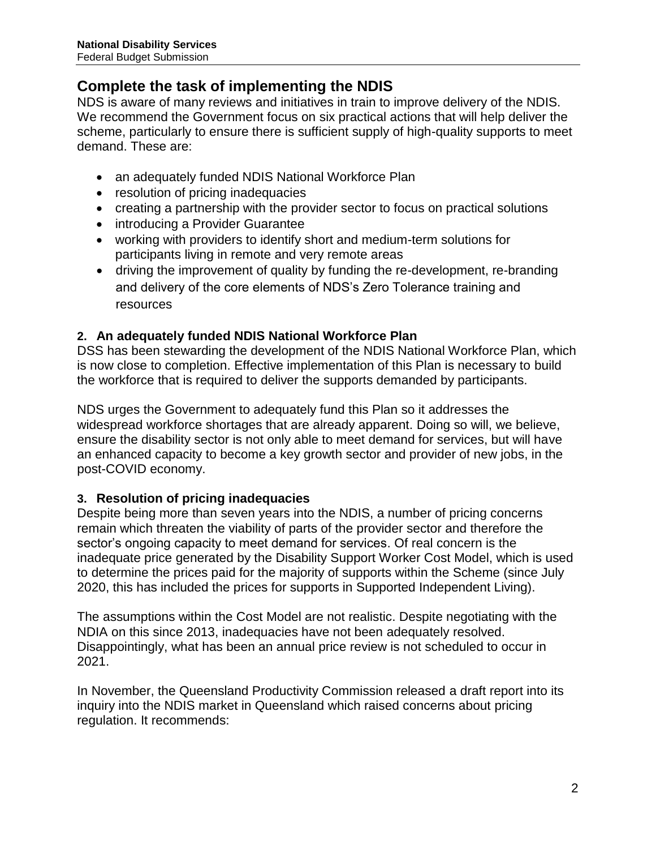# **Complete the task of implementing the NDIS**

NDS is aware of many reviews and initiatives in train to improve delivery of the NDIS. We recommend the Government focus on six practical actions that will help deliver the scheme, particularly to ensure there is sufficient supply of high-quality supports to meet demand. These are:

- an adequately funded NDIS National Workforce Plan
- resolution of pricing inadequacies
- creating a partnership with the provider sector to focus on practical solutions
- introducing a Provider Guarantee
- working with providers to identify short and medium-term solutions for participants living in remote and very remote areas
- driving the improvement of quality by funding the re-development, re-branding and delivery of the core elements of NDS's Zero Tolerance training and resources

# **2. An adequately funded NDIS National Workforce Plan**

DSS has been stewarding the development of the NDIS National Workforce Plan, which is now close to completion. Effective implementation of this Plan is necessary to build the workforce that is required to deliver the supports demanded by participants.

NDS urges the Government to adequately fund this Plan so it addresses the widespread workforce shortages that are already apparent. Doing so will, we believe, ensure the disability sector is not only able to meet demand for services, but will have an enhanced capacity to become a key growth sector and provider of new jobs, in the post-COVID economy.

# **3. Resolution of pricing inadequacies**

Despite being more than seven years into the NDIS, a number of pricing concerns remain which threaten the viability of parts of the provider sector and therefore the sector's ongoing capacity to meet demand for services. Of real concern is the inadequate price generated by the Disability Support Worker Cost Model, which is used to determine the prices paid for the majority of supports within the Scheme (since July 2020, this has included the prices for supports in Supported Independent Living).

The assumptions within the Cost Model are not realistic. Despite negotiating with the NDIA on this since 2013, inadequacies have not been adequately resolved. Disappointingly, what has been an annual price review is not scheduled to occur in 2021.

In November, the Queensland Productivity Commission released a draft report into its inquiry into the NDIS market in Queensland which raised concerns about pricing regulation. It recommends: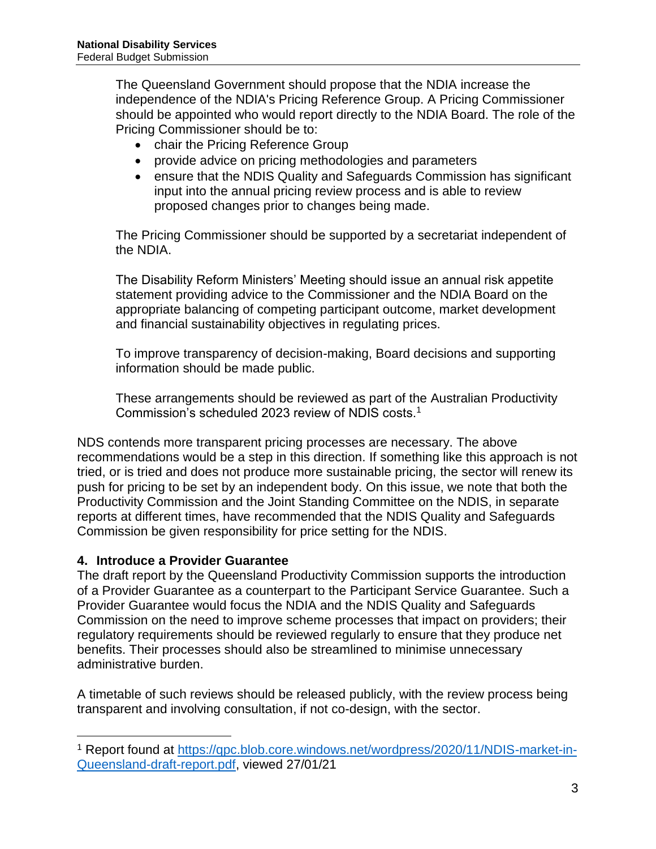The Queensland Government should propose that the NDIA increase the independence of the NDIA's Pricing Reference Group. A Pricing Commissioner should be appointed who would report directly to the NDIA Board. The role of the Pricing Commissioner should be to:

- chair the Pricing Reference Group
- provide advice on pricing methodologies and parameters
- ensure that the NDIS Quality and Safeguards Commission has significant input into the annual pricing review process and is able to review proposed changes prior to changes being made.

The Pricing Commissioner should be supported by a secretariat independent of the NDIA.

The Disability Reform Ministers' Meeting should issue an annual risk appetite statement providing advice to the Commissioner and the NDIA Board on the appropriate balancing of competing participant outcome, market development and financial sustainability objectives in regulating prices.

To improve transparency of decision-making, Board decisions and supporting information should be made public.

These arrangements should be reviewed as part of the Australian Productivity Commission's scheduled 2023 review of NDIS costs.<sup>1</sup>

NDS contends more transparent pricing processes are necessary. The above recommendations would be a step in this direction. If something like this approach is not tried, or is tried and does not produce more sustainable pricing, the sector will renew its push for pricing to be set by an independent body. On this issue, we note that both the Productivity Commission and the Joint Standing Committee on the NDIS, in separate reports at different times, have recommended that the NDIS Quality and Safeguards Commission be given responsibility for price setting for the NDIS.

#### **4. Introduce a Provider Guarantee**

 $\overline{a}$ 

The draft report by the Queensland Productivity Commission supports the introduction of a Provider Guarantee as a counterpart to the Participant Service Guarantee. Such a Provider Guarantee would focus the NDIA and the NDIS Quality and Safeguards Commission on the need to improve scheme processes that impact on providers; their regulatory requirements should be reviewed regularly to ensure that they produce net benefits. Their processes should also be streamlined to minimise unnecessary administrative burden.

A timetable of such reviews should be released publicly, with the review process being transparent and involving consultation, if not co-design, with the sector.

<sup>1</sup> Report found at [https://qpc.blob.core.windows.net/wordpress/2020/11/NDIS-market-in-](https://qpc.blob.core.windows.net/wordpress/2020/11/NDIS-market-in-Queensland-draft-report.pdf)[Queensland-draft-report.pdf,](https://qpc.blob.core.windows.net/wordpress/2020/11/NDIS-market-in-Queensland-draft-report.pdf) viewed 27/01/21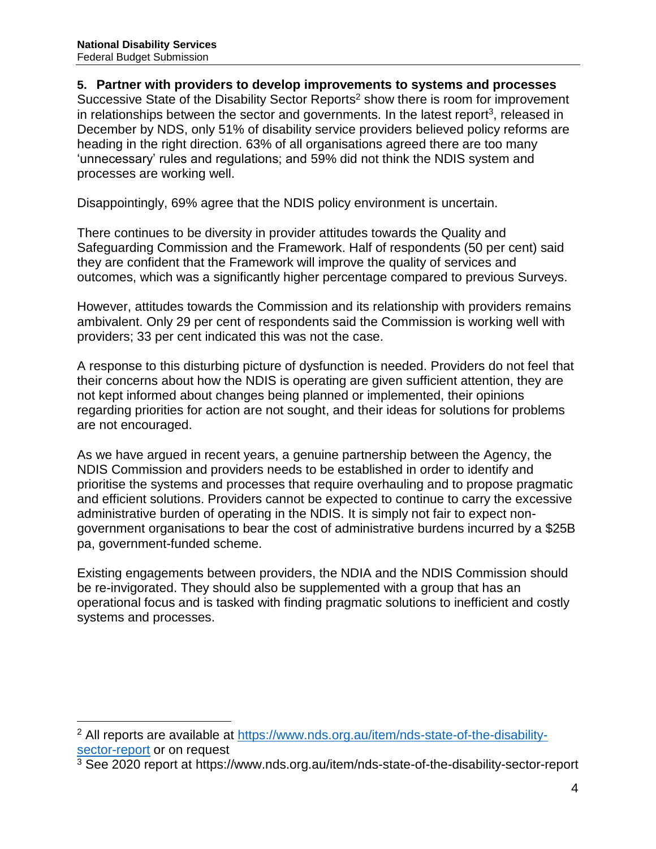$\overline{a}$ 

#### **5. Partner with providers to develop improvements to systems and processes**

Successive State of the Disability Sector Reports<sup>2</sup> show there is room for improvement in relationships between the sector and governments. In the latest report<sup>3</sup>, released in December by NDS, only 51% of disability service providers believed policy reforms are heading in the right direction. 63% of all organisations agreed there are too many 'unnecessary' rules and regulations; and 59% did not think the NDIS system and processes are working well.

Disappointingly, 69% agree that the NDIS policy environment is uncertain.

There continues to be diversity in provider attitudes towards the Quality and Safeguarding Commission and the Framework. Half of respondents (50 per cent) said they are confident that the Framework will improve the quality of services and outcomes, which was a significantly higher percentage compared to previous Surveys.

However, attitudes towards the Commission and its relationship with providers remains ambivalent. Only 29 per cent of respondents said the Commission is working well with providers; 33 per cent indicated this was not the case.

A response to this disturbing picture of dysfunction is needed. Providers do not feel that their concerns about how the NDIS is operating are given sufficient attention, they are not kept informed about changes being planned or implemented, their opinions regarding priorities for action are not sought, and their ideas for solutions for problems are not encouraged.

As we have argued in recent years, a genuine partnership between the Agency, the NDIS Commission and providers needs to be established in order to identify and prioritise the systems and processes that require overhauling and to propose pragmatic and efficient solutions. Providers cannot be expected to continue to carry the excessive administrative burden of operating in the NDIS. It is simply not fair to expect nongovernment organisations to bear the cost of administrative burdens incurred by a \$25B pa, government-funded scheme.

Existing engagements between providers, the NDIA and the NDIS Commission should be re-invigorated. They should also be supplemented with a group that has an operational focus and is tasked with finding pragmatic solutions to inefficient and costly systems and processes.

<sup>2</sup> All reports are available at [https://www.nds.org.au/item/nds-state-of-the-disability](https://www.nds.org.au/item/nds-state-of-the-disability-sector-report)[sector-report](https://www.nds.org.au/item/nds-state-of-the-disability-sector-report) or on request

<sup>3</sup> See 2020 report at https://www.nds.org.au/item/nds-state-of-the-disability-sector-report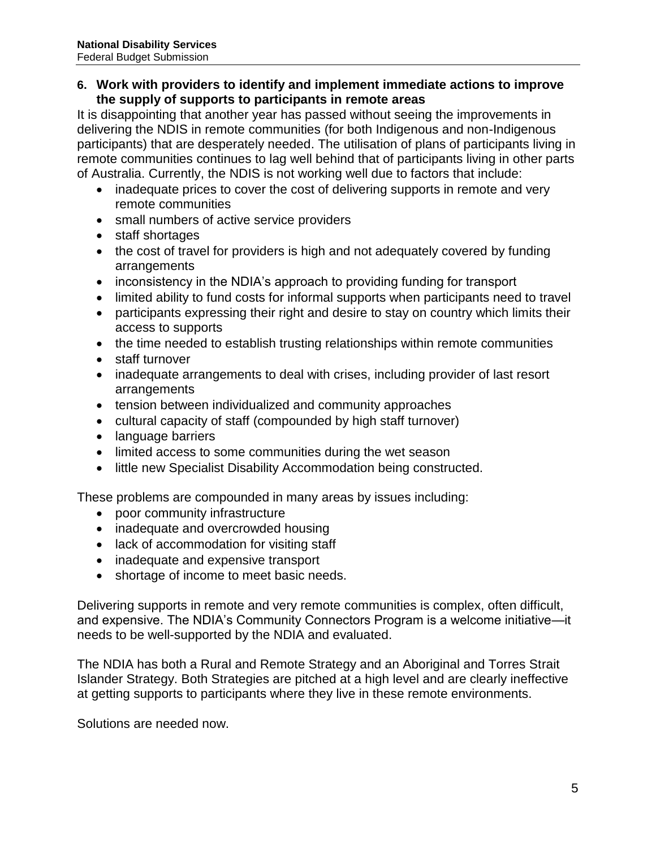#### **6. Work with providers to identify and implement immediate actions to improve the supply of supports to participants in remote areas**

It is disappointing that another year has passed without seeing the improvements in delivering the NDIS in remote communities (for both Indigenous and non-Indigenous participants) that are desperately needed. The utilisation of plans of participants living in remote communities continues to lag well behind that of participants living in other parts of Australia. Currently, the NDIS is not working well due to factors that include:

- inadequate prices to cover the cost of delivering supports in remote and very remote communities
- small numbers of active service providers
- staff shortages
- the cost of travel for providers is high and not adequately covered by funding arrangements
- inconsistency in the NDIA's approach to providing funding for transport
- limited ability to fund costs for informal supports when participants need to travel
- participants expressing their right and desire to stay on country which limits their access to supports
- the time needed to establish trusting relationships within remote communities
- staff turnover
- inadequate arrangements to deal with crises, including provider of last resort arrangements
- tension between individualized and community approaches
- cultural capacity of staff (compounded by high staff turnover)
- language barriers
- limited access to some communities during the wet season
- **.** little new Specialist Disability Accommodation being constructed.

These problems are compounded in many areas by issues including:

- poor community infrastructure
- inadequate and overcrowded housing
- lack of accommodation for visiting staff
- inadequate and expensive transport
- shortage of income to meet basic needs.

Delivering supports in remote and very remote communities is complex, often difficult, and expensive. The NDIA's Community Connectors Program is a welcome initiative—it needs to be well-supported by the NDIA and evaluated.

The NDIA has both a Rural and Remote Strategy and an Aboriginal and Torres Strait Islander Strategy. Both Strategies are pitched at a high level and are clearly ineffective at getting supports to participants where they live in these remote environments.

Solutions are needed now.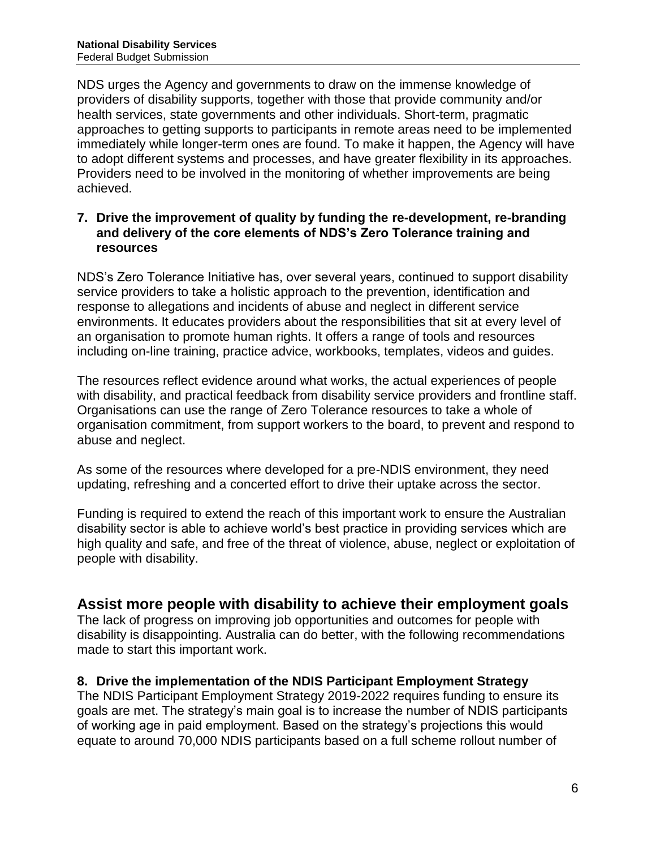NDS urges the Agency and governments to draw on the immense knowledge of providers of disability supports, together with those that provide community and/or health services, state governments and other individuals. Short-term, pragmatic approaches to getting supports to participants in remote areas need to be implemented immediately while longer-term ones are found. To make it happen, the Agency will have to adopt different systems and processes, and have greater flexibility in its approaches. Providers need to be involved in the monitoring of whether improvements are being achieved.

#### **7. Drive the improvement of quality by funding the re-development, re-branding and delivery of the core elements of NDS's Zero Tolerance training and resources**

NDS's Zero Tolerance Initiative has, over several years, continued to support disability service providers to take a holistic approach to the prevention, identification and response to allegations and incidents of abuse and neglect in different service environments. It educates providers about the responsibilities that sit at every level of an organisation to promote human rights. It offers a range of tools and resources including on-line training, practice advice, workbooks, templates, videos and guides.

The resources reflect evidence around what works, the actual experiences of people with disability, and practical feedback from disability service providers and frontline staff. Organisations can use the range of Zero Tolerance resources to take a whole of organisation commitment, from support workers to the board, to prevent and respond to abuse and neglect.

As some of the resources where developed for a pre-NDIS environment, they need updating, refreshing and a concerted effort to drive their uptake across the sector.

Funding is required to extend the reach of this important work to ensure the Australian disability sector is able to achieve world's best practice in providing services which are high quality and safe, and free of the threat of violence, abuse, neglect or exploitation of people with disability.

# **Assist more people with disability to achieve their employment goals**

The lack of progress on improving job opportunities and outcomes for people with disability is disappointing. Australia can do better, with the following recommendations made to start this important work.

# **8. Drive the implementation of the NDIS Participant Employment Strategy**

The NDIS Participant Employment Strategy 2019-2022 requires funding to ensure its goals are met. The strategy's main goal is to increase the number of NDIS participants of working age in paid employment. Based on the strategy's projections this would equate to around 70,000 NDIS participants based on a full scheme rollout number of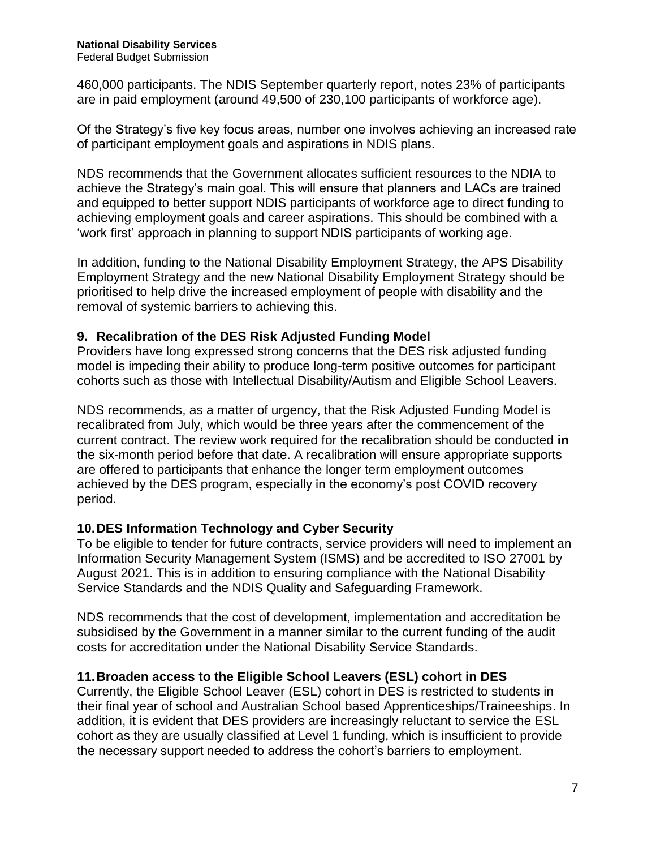460,000 participants. The NDIS September quarterly report, notes 23% of participants are in paid employment (around 49,500 of 230,100 participants of workforce age).

Of the Strategy's five key focus areas, number one involves achieving an increased rate of participant employment goals and aspirations in NDIS plans.

NDS recommends that the Government allocates sufficient resources to the NDIA to achieve the Strategy's main goal. This will ensure that planners and LACs are trained and equipped to better support NDIS participants of workforce age to direct funding to achieving employment goals and career aspirations. This should be combined with a 'work first' approach in planning to support NDIS participants of working age.

In addition, funding to the National Disability Employment Strategy, the APS Disability Employment Strategy and the new National Disability Employment Strategy should be prioritised to help drive the increased employment of people with disability and the removal of systemic barriers to achieving this.

# **9. Recalibration of the DES Risk Adjusted Funding Model**

Providers have long expressed strong concerns that the DES risk adjusted funding model is impeding their ability to produce long-term positive outcomes for participant cohorts such as those with Intellectual Disability/Autism and Eligible School Leavers.

NDS recommends, as a matter of urgency, that the Risk Adjusted Funding Model is recalibrated from July, which would be three years after the commencement of the current contract. The review work required for the recalibration should be conducted **in**  the six-month period before that date. A recalibration will ensure appropriate supports are offered to participants that enhance the longer term employment outcomes achieved by the DES program, especially in the economy's post COVID recovery period.

# **10.DES Information Technology and Cyber Security**

To be eligible to tender for future contracts, service providers will need to implement an Information Security Management System (ISMS) and be accredited to ISO 27001 by August 2021. This is in addition to ensuring compliance with the National Disability Service Standards and the NDIS Quality and Safeguarding Framework.

NDS recommends that the cost of development, implementation and accreditation be subsidised by the Government in a manner similar to the current funding of the audit costs for accreditation under the National Disability Service Standards.

# **11.Broaden access to the Eligible School Leavers (ESL) cohort in DES**

Currently, the Eligible School Leaver (ESL) cohort in DES is restricted to students in their final year of school and Australian School based Apprenticeships/Traineeships. In addition, it is evident that DES providers are increasingly reluctant to service the ESL cohort as they are usually classified at Level 1 funding, which is insufficient to provide the necessary support needed to address the cohort's barriers to employment.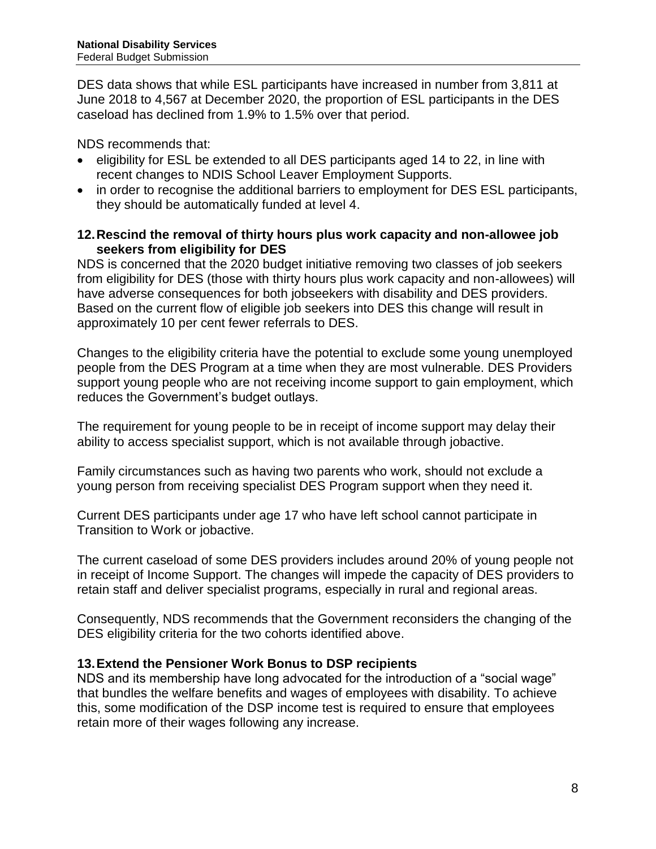DES data shows that while ESL participants have increased in number from 3,811 at June 2018 to 4,567 at December 2020, the proportion of ESL participants in the DES caseload has declined from 1.9% to 1.5% over that period.

NDS recommends that:

- eligibility for ESL be extended to all DES participants aged 14 to 22, in line with recent changes to NDIS School Leaver Employment Supports.
- in order to recognise the additional barriers to employment for DES ESL participants, they should be automatically funded at level 4.

### **12.Rescind the removal of thirty hours plus work capacity and non-allowee job seekers from eligibility for DES**

NDS is concerned that the 2020 budget initiative removing two classes of job seekers from eligibility for DES (those with thirty hours plus work capacity and non-allowees) will have adverse consequences for both jobseekers with disability and DES providers. Based on the current flow of eligible job seekers into DES this change will result in approximately 10 per cent fewer referrals to DES.

Changes to the eligibility criteria have the potential to exclude some young unemployed people from the DES Program at a time when they are most vulnerable. DES Providers support young people who are not receiving income support to gain employment, which reduces the Government's budget outlays.

The requirement for young people to be in receipt of income support may delay their ability to access specialist support, which is not available through jobactive.

Family circumstances such as having two parents who work, should not exclude a young person from receiving specialist DES Program support when they need it.

Current DES participants under age 17 who have left school cannot participate in Transition to Work or jobactive.

The current caseload of some DES providers includes around 20% of young people not in receipt of Income Support. The changes will impede the capacity of DES providers to retain staff and deliver specialist programs, especially in rural and regional areas.

Consequently, NDS recommends that the Government reconsiders the changing of the DES eligibility criteria for the two cohorts identified above.

# **13.Extend the Pensioner Work Bonus to DSP recipients**

NDS and its membership have long advocated for the introduction of a "social wage" that bundles the welfare benefits and wages of employees with disability. To achieve this, some modification of the DSP income test is required to ensure that employees retain more of their wages following any increase.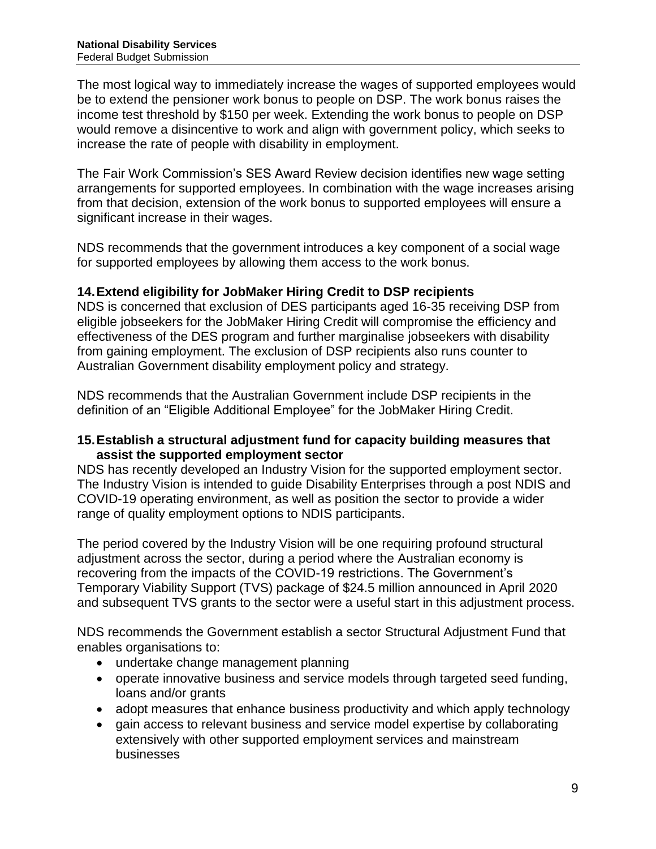The most logical way to immediately increase the wages of supported employees would be to extend the pensioner work bonus to people on DSP. The work bonus raises the income test threshold by \$150 per week. Extending the work bonus to people on DSP would remove a disincentive to work and align with government policy, which seeks to increase the rate of people with disability in employment.

The Fair Work Commission's SES Award Review decision identifies new wage setting arrangements for supported employees. In combination with the wage increases arising from that decision, extension of the work bonus to supported employees will ensure a significant increase in their wages.

NDS recommends that the government introduces a key component of a social wage for supported employees by allowing them access to the work bonus.

# **14.Extend eligibility for JobMaker Hiring Credit to DSP recipients**

NDS is concerned that exclusion of DES participants aged 16-35 receiving DSP from eligible jobseekers for the JobMaker Hiring Credit will compromise the efficiency and effectiveness of the DES program and further marginalise jobseekers with disability from gaining employment. The exclusion of DSP recipients also runs counter to Australian Government disability employment policy and strategy.

NDS recommends that the Australian Government include DSP recipients in the definition of an "Eligible Additional Employee" for the JobMaker Hiring Credit.

#### **15.Establish a structural adjustment fund for capacity building measures that assist the supported employment sector**

NDS has recently developed an Industry Vision for the supported employment sector. The Industry Vision is intended to guide Disability Enterprises through a post NDIS and COVID-19 operating environment, as well as position the sector to provide a wider range of quality employment options to NDIS participants.

The period covered by the Industry Vision will be one requiring profound structural adjustment across the sector, during a period where the Australian economy is recovering from the impacts of the COVID-19 restrictions. The Government's Temporary Viability Support (TVS) package of \$24.5 million announced in April 2020 and subsequent TVS grants to the sector were a useful start in this adjustment process.

NDS recommends the Government establish a sector Structural Adjustment Fund that enables organisations to:

- undertake change management planning
- operate innovative business and service models through targeted seed funding, loans and/or grants
- adopt measures that enhance business productivity and which apply technology
- gain access to relevant business and service model expertise by collaborating extensively with other supported employment services and mainstream businesses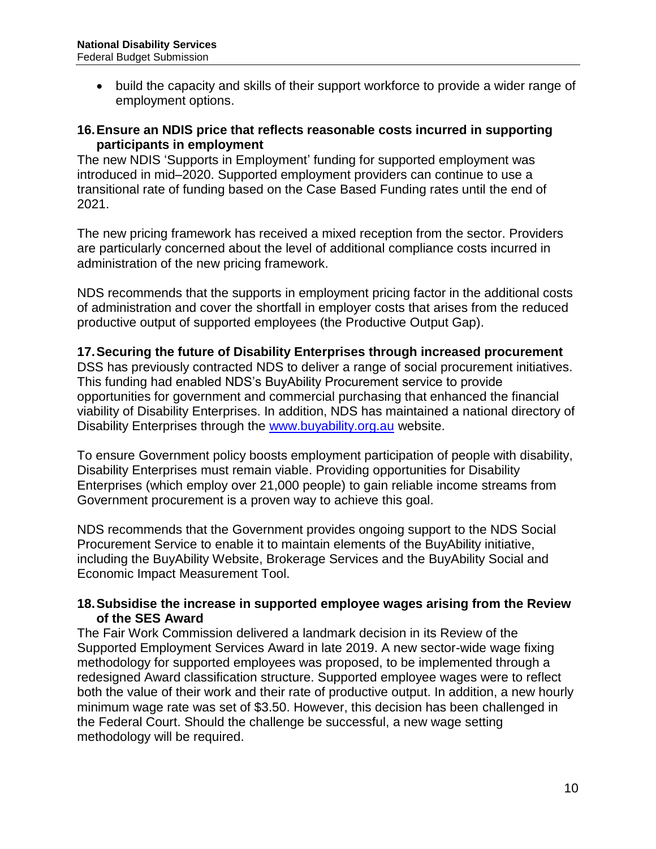• build the capacity and skills of their support workforce to provide a wider range of employment options.

#### **16.Ensure an NDIS price that reflects reasonable costs incurred in supporting participants in employment**

The new NDIS 'Supports in Employment' funding for supported employment was introduced in mid–2020. Supported employment providers can continue to use a transitional rate of funding based on the Case Based Funding rates until the end of 2021.

The new pricing framework has received a mixed reception from the sector. Providers are particularly concerned about the level of additional compliance costs incurred in administration of the new pricing framework.

NDS recommends that the supports in employment pricing factor in the additional costs of administration and cover the shortfall in employer costs that arises from the reduced productive output of supported employees (the Productive Output Gap).

#### **17.Securing the future of Disability Enterprises through increased procurement**

DSS has previously contracted NDS to deliver a range of social procurement initiatives. This funding had enabled NDS's BuyAbility Procurement service to provide opportunities for government and commercial purchasing that enhanced the financial viability of Disability Enterprises. In addition, NDS has maintained a national directory of Disability Enterprises through the [www.buyability.org.au](http://www.buyability.org.au/) website.

To ensure Government policy boosts employment participation of people with disability, Disability Enterprises must remain viable. Providing opportunities for Disability Enterprises (which employ over 21,000 people) to gain reliable income streams from Government procurement is a proven way to achieve this goal.

NDS recommends that the Government provides ongoing support to the NDS Social Procurement Service to enable it to maintain elements of the BuyAbility initiative, including the BuyAbility Website, Brokerage Services and the BuyAbility Social and Economic Impact Measurement Tool.

#### **18.Subsidise the increase in supported employee wages arising from the Review of the SES Award**

The Fair Work Commission delivered a landmark decision in its Review of the Supported Employment Services Award in late 2019. A new sector-wide wage fixing methodology for supported employees was proposed, to be implemented through a redesigned Award classification structure. Supported employee wages were to reflect both the value of their work and their rate of productive output. In addition, a new hourly minimum wage rate was set of \$3.50. However, this decision has been challenged in the Federal Court. Should the challenge be successful, a new wage setting methodology will be required.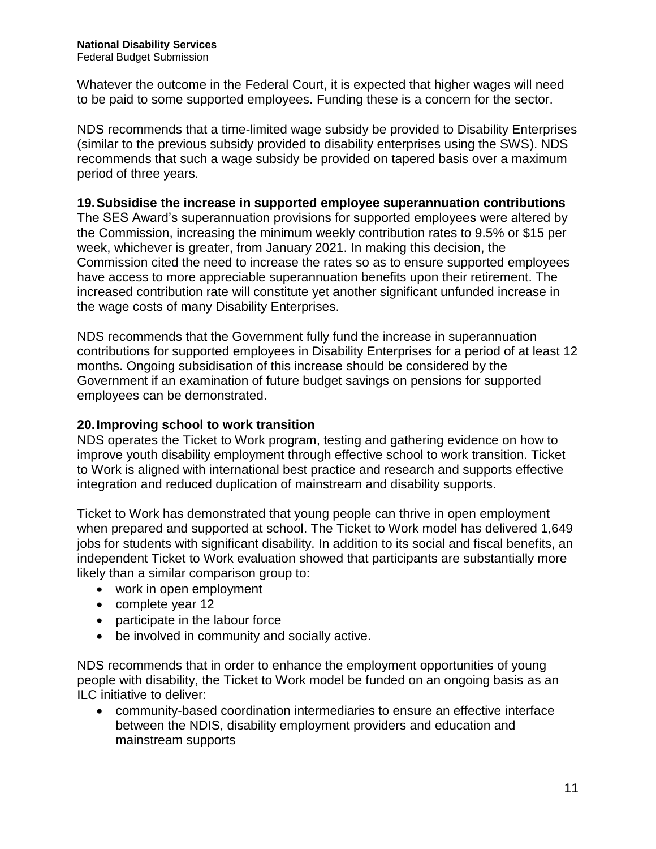Whatever the outcome in the Federal Court, it is expected that higher wages will need to be paid to some supported employees. Funding these is a concern for the sector.

NDS recommends that a time-limited wage subsidy be provided to Disability Enterprises (similar to the previous subsidy provided to disability enterprises using the SWS). NDS recommends that such a wage subsidy be provided on tapered basis over a maximum period of three years.

#### **19.Subsidise the increase in supported employee superannuation contributions**

The SES Award's superannuation provisions for supported employees were altered by the Commission, increasing the minimum weekly contribution rates to 9.5% or \$15 per week, whichever is greater, from January 2021. In making this decision, the Commission cited the need to increase the rates so as to ensure supported employees have access to more appreciable superannuation benefits upon their retirement. The increased contribution rate will constitute yet another significant unfunded increase in the wage costs of many Disability Enterprises.

NDS recommends that the Government fully fund the increase in superannuation contributions for supported employees in Disability Enterprises for a period of at least 12 months. Ongoing subsidisation of this increase should be considered by the Government if an examination of future budget savings on pensions for supported employees can be demonstrated.

### **20.Improving school to work transition**

NDS operates the Ticket to Work program, testing and gathering evidence on how to improve youth disability employment through effective school to work transition. Ticket to Work is aligned with international best practice and research and supports effective integration and reduced duplication of mainstream and disability supports.

Ticket to Work has demonstrated that young people can thrive in open employment when prepared and supported at school. The Ticket to Work model has delivered 1,649 jobs for students with significant disability. In addition to its social and fiscal benefits, an independent Ticket to Work evaluation showed that participants are substantially more likely than a similar comparison group to:

- work in open employment
- complete year 12
- participate in the labour force
- be involved in community and socially active.

NDS recommends that in order to enhance the employment opportunities of young people with disability, the Ticket to Work model be funded on an ongoing basis as an ILC initiative to deliver:

 community-based coordination intermediaries to ensure an effective interface between the NDIS, disability employment providers and education and mainstream supports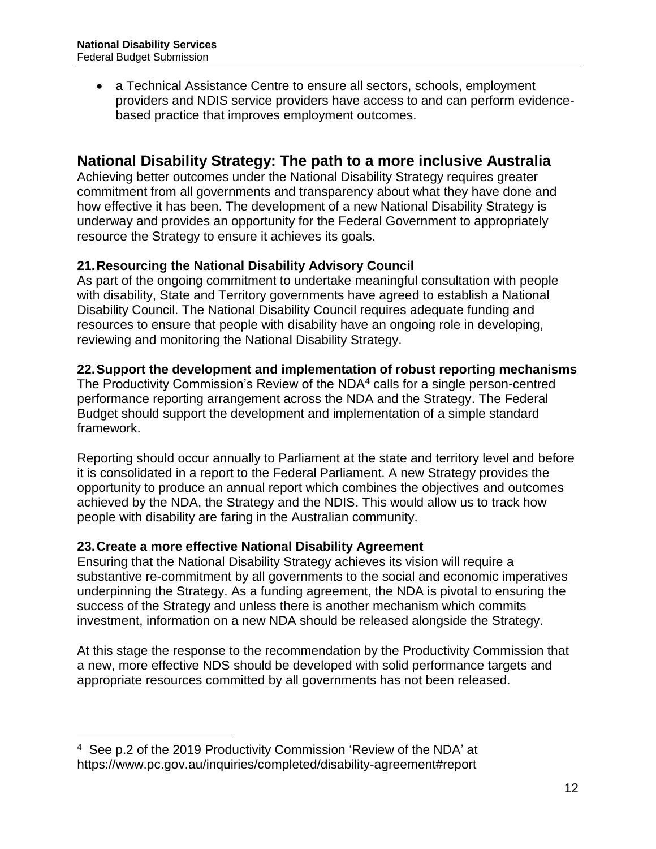a Technical Assistance Centre to ensure all sectors, schools, employment providers and NDIS service providers have access to and can perform evidencebased practice that improves employment outcomes.

# **National Disability Strategy: The path to a more inclusive Australia**

Achieving better outcomes under the National Disability Strategy requires greater commitment from all governments and transparency about what they have done and how effective it has been. The development of a new National Disability Strategy is underway and provides an opportunity for the Federal Government to appropriately resource the Strategy to ensure it achieves its goals.

# **21.Resourcing the National Disability Advisory Council**

As part of the ongoing commitment to undertake meaningful consultation with people with disability, State and Territory governments have agreed to establish a National Disability Council. The National Disability Council requires adequate funding and resources to ensure that people with disability have an ongoing role in developing, reviewing and monitoring the National Disability Strategy.

# **22.Support the development and implementation of robust reporting mechanisms**

The Productivity Commission's Review of the NDA4 calls for a single person-centred performance reporting arrangement across the NDA and the Strategy. The Federal Budget should support the development and implementation of a simple standard framework.

Reporting should occur annually to Parliament at the state and territory level and before it is consolidated in a report to the Federal Parliament. A new Strategy provides the opportunity to produce an annual report which combines the objectives and outcomes achieved by the NDA, the Strategy and the NDIS. This would allow us to track how people with disability are faring in the Australian community.

# **23.Create a more effective National Disability Agreement**

Ensuring that the National Disability Strategy achieves its vision will require a substantive re-commitment by all governments to the social and economic imperatives underpinning the Strategy. As a funding agreement, the NDA is pivotal to ensuring the success of the Strategy and unless there is another mechanism which commits investment, information on a new NDA should be released alongside the Strategy.

At this stage the response to the recommendation by the Productivity Commission that a new, more effective NDS should be developed with solid performance targets and appropriate resources committed by all governments has not been released.

 $\overline{a}$ 

<sup>4</sup> See p.2 of the 2019 Productivity Commission 'Review of the NDA' at https://www.pc.gov.au/inquiries/completed/disability-agreement#report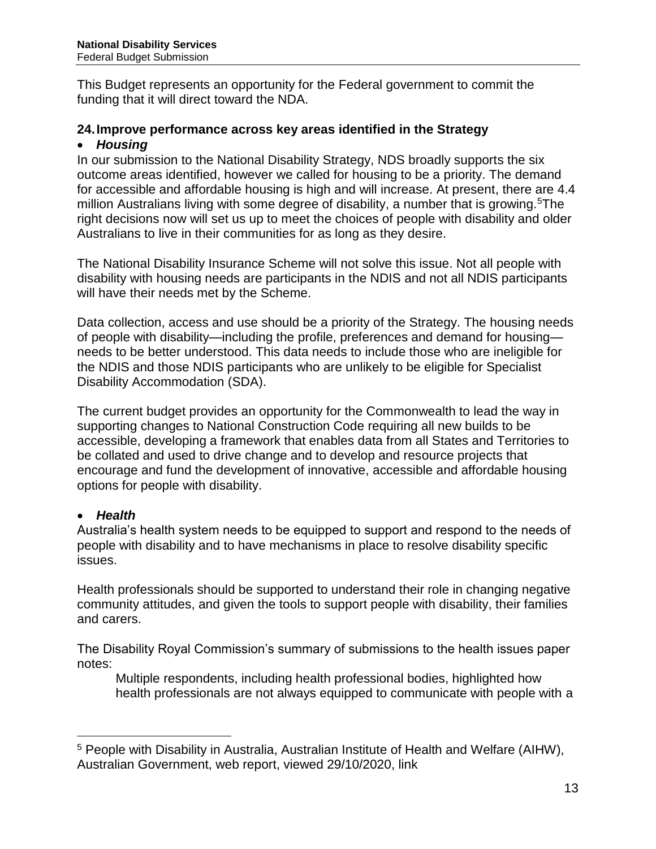This Budget represents an opportunity for the Federal government to commit the funding that it will direct toward the NDA.

#### **24.Improve performance across key areas identified in the Strategy**

#### *Housing*

In our submission to the National Disability Strategy, NDS broadly supports the six outcome areas identified, however we called for housing to be a priority. The demand for accessible and affordable housing is high and will increase. At present, there are 4.4 million Australians living with some degree of disability, a number that is growing.<sup>5</sup>The right decisions now will set us up to meet the choices of people with disability and older Australians to live in their communities for as long as they desire.

The National Disability Insurance Scheme will not solve this issue. Not all people with disability with housing needs are participants in the NDIS and not all NDIS participants will have their needs met by the Scheme.

Data collection, access and use should be a priority of the Strategy. The housing needs of people with disability—including the profile, preferences and demand for housing needs to be better understood. This data needs to include those who are ineligible for the NDIS and those NDIS participants who are unlikely to be eligible for Specialist Disability Accommodation (SDA).

The current budget provides an opportunity for the Commonwealth to lead the way in supporting changes to National Construction Code requiring all new builds to be accessible, developing a framework that enables data from all States and Territories to be collated and used to drive change and to develop and resource projects that encourage and fund the development of innovative, accessible and affordable housing options for people with disability.

# *Health*

 $\overline{a}$ 

Australia's health system needs to be equipped to support and respond to the needs of people with disability and to have mechanisms in place to resolve disability specific issues.

Health professionals should be supported to understand their role in changing negative community attitudes, and given the tools to support people with disability, their families and carers.

The Disability Royal Commission's summary of submissions to the health issues paper notes:

Multiple respondents, including health professional bodies, highlighted how health professionals are not always equipped to communicate with people with a

<sup>5</sup> People with Disability in Australia, Australian Institute of Health and Welfare (AIHW), Australian Government, web report, viewed 29/10/2020, link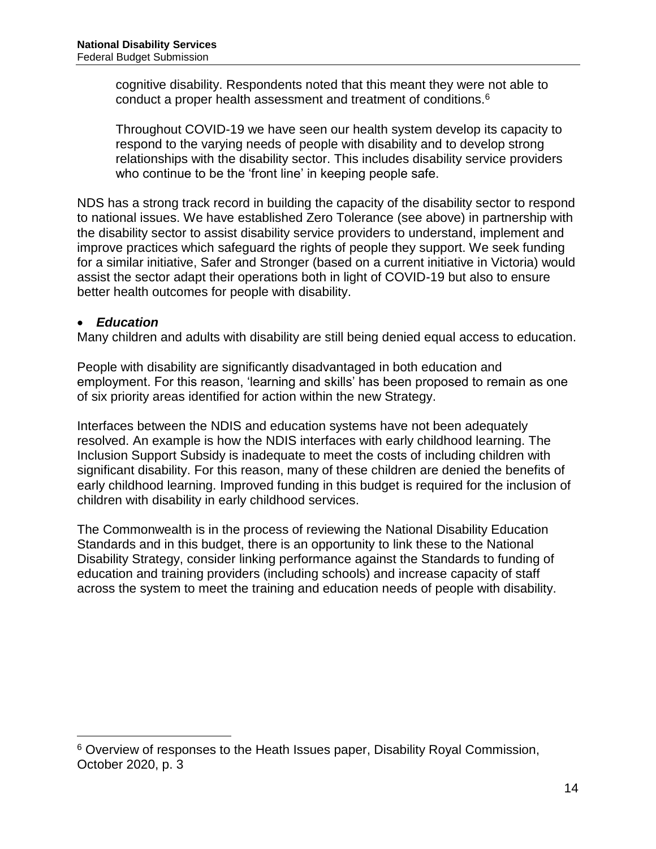cognitive disability. Respondents noted that this meant they were not able to conduct a proper health assessment and treatment of conditions.<sup>6</sup>

Throughout COVID-19 we have seen our health system develop its capacity to respond to the varying needs of people with disability and to develop strong relationships with the disability sector. This includes disability service providers who continue to be the 'front line' in keeping people safe.

NDS has a strong track record in building the capacity of the disability sector to respond to national issues. We have established Zero Tolerance (see above) in partnership with the disability sector to assist disability service providers to understand, implement and improve practices which safeguard the rights of people they support. We seek funding for a similar initiative, Safer and Stronger (based on a current initiative in Victoria) would assist the sector adapt their operations both in light of COVID-19 but also to ensure better health outcomes for people with disability.

#### *Education*

 $\overline{a}$ 

Many children and adults with disability are still being denied equal access to education.

People with disability are significantly disadvantaged in both education and employment. For this reason, 'learning and skills' has been proposed to remain as one of six priority areas identified for action within the new Strategy.

Interfaces between the NDIS and education systems have not been adequately resolved. An example is how the NDIS interfaces with early childhood learning. The Inclusion Support Subsidy is inadequate to meet the costs of including children with significant disability. For this reason, many of these children are denied the benefits of early childhood learning. Improved funding in this budget is required for the inclusion of children with disability in early childhood services.

The Commonwealth is in the process of reviewing the National Disability Education Standards and in this budget, there is an opportunity to link these to the National Disability Strategy, consider linking performance against the Standards to funding of education and training providers (including schools) and increase capacity of staff across the system to meet the training and education needs of people with disability.

<sup>&</sup>lt;sup>6</sup> Overview of responses to the Heath Issues paper, Disability Royal Commission, October 2020, p. 3